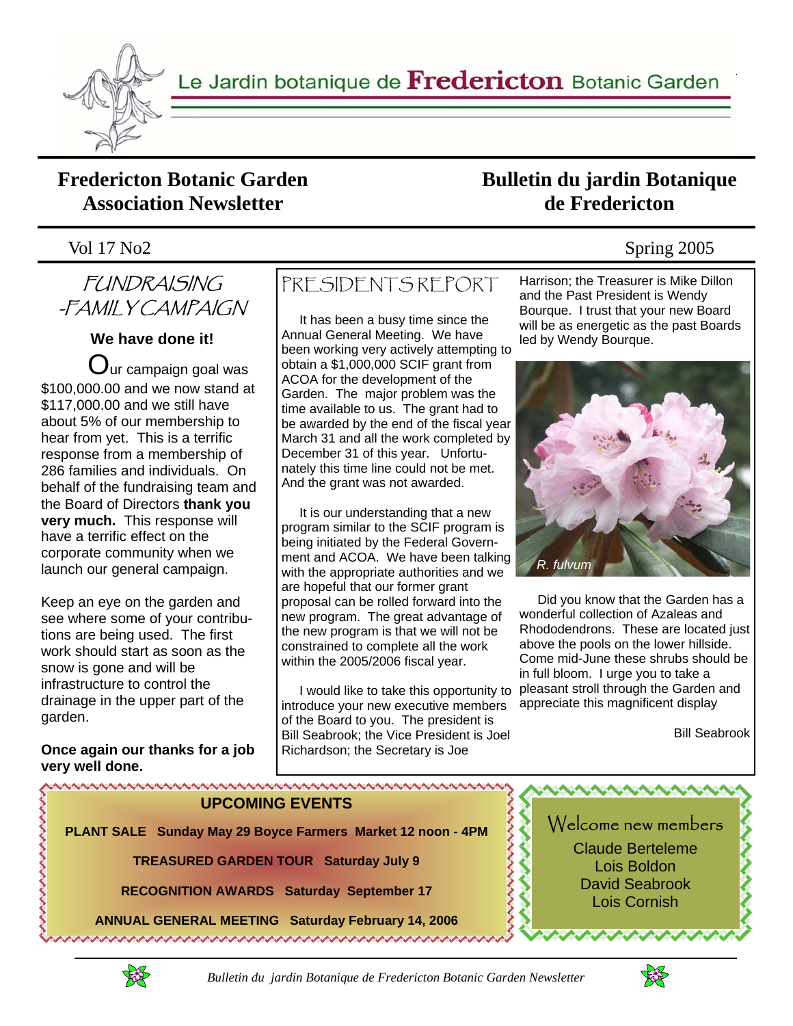

Le Jardin botanique de Fredericton Botanic Garden

### **Fredericton Botanic Garden Association Newsletter**

#### Vol 17 No2 Spring 2005

# FUNDRAISING -FAMILY CAMPAIGN

#### **We have done it!**

 $\mathbf C$ ur campaign goal was \$100,000.00 and we now stand at \$117,000.00 and we still have about 5% of our membership to hear from yet. This is a terrific response from a membership of 286 families and individuals. On behalf of the fundraising team and the Board of Directors **thank you very much.** This response will have a terrific effect on the corporate community when we launch our general campaign.

Keep an eye on the garden and see where some of your contributions are being used. The first work should start as soon as the snow is gone and will be infrastructure to control the drainage in the upper part of the garden.

**Once again our thanks for a job very well done.**

# PRESIDENTS REPORT

 It has been a busy time since the Annual General Meeting. We have been working very actively attempting to obtain a \$1,000,000 SCIF grant from ACOA for the development of the Garden. The major problem was the time available to us. The grant had to be awarded by the end of the fiscal year March 31 and all the work completed by December 31 of this year. Unfortunately this time line could not be met. And the grant was not awarded.

 It is our understanding that a new program similar to the SCIF program is being initiated by the Federal Government and ACOA. We have been talking with the appropriate authorities and we are hopeful that our former grant proposal can be rolled forward into the new program. The great advantage of the new program is that we will not be constrained to complete all the work within the 2005/2006 fiscal year.

 I would like to take this opportunity to pleasant stroll through the Garden and introduce your new executive members of the Board to you. The president is Bill Seabrook; the Vice President is Joel Richardson; the Secretary is Joe

Harrison; the Treasurer is Mike Dillon and the Past President is Wendy Bourque. I trust that your new Board will be as energetic as the past Boards led by Wendy Bourque.

**Bulletin du jardin Botanique de Fredericton** 



 Did you know that the Garden has a wonderful collection of Azaleas and Rhododendrons. These are located just above the pools on the lower hillside. Come mid-June these shrubs should be in full bloom. I urge you to take a appreciate this magnificent display

Bill Seabrook

**UPCOMING EVENTS** 

**PLANT SALE Sunday May 29 Boyce Farmers Market 12 noon - 4PM** 

**TREASURED GARDEN TOUR Saturday July 9** 

**RECOGNITION AWARDS Saturday September 17** 

**ANNUAL GENERAL MEETING Saturday February 14, 2006** 



.............



きんきょう きょうきょう

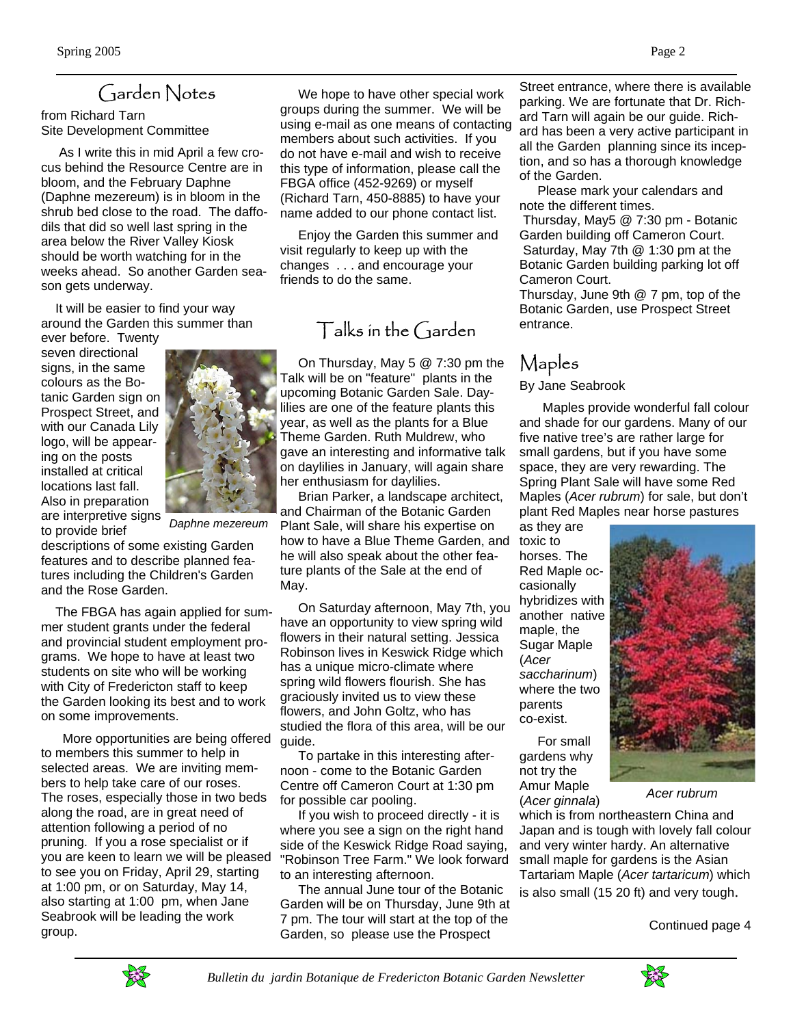## Garden Notes

from Richard Tarn Site Development Committee

 As I write this in mid April a few crocus behind the Resource Centre are in bloom, and the February Daphne (Daphne mezereum) is in bloom in the shrub bed close to the road. The daffodils that did so well last spring in the area below the River Valley Kiosk should be worth watching for in the weeks ahead. So another Garden season gets underway.

 It will be easier to find your way around the Garden this summer than

ever before. Twenty seven directional signs, in the same colours as the Botanic Garden sign on Prospect Street, and with our Canada Lily logo, will be appearing on the posts installed at critical locations last fall. Also in preparation are interpretive signs to provide brief

*Daphne mezereum*

descriptions of some existing Garden features and to describe planned features including the Children's Garden and the Rose Garden.

 The FBGA has again applied for summer student grants under the federal and provincial student employment programs. We hope to have at least two students on site who will be working with City of Fredericton staff to keep the Garden looking its best and to work on some improvements.

 More opportunities are being offered to members this summer to help in selected areas. We are inviting members to help take care of our roses. The roses, especially those in two beds along the road, are in great need of attention following a period of no pruning. If you a rose specialist or if you are keen to learn we will be pleased to see you on Friday, April 29, starting at 1:00 pm, or on Saturday, May 14, also starting at 1:00 pm, when Jane Seabrook will be leading the work group.

 We hope to have other special work groups during the summer. We will be using e-mail as one means of contacting members about such activities. If you do not have e-mail and wish to receive this type of information, please call the FBGA office (452-9269) or myself (Richard Tarn, 450-8885) to have your name added to our phone contact list.

 Enjoy the Garden this summer and visit regularly to keep up with the changes . . . and encourage your friends to do the same.

### Talks in the Garden

 On Thursday, May 5 @ 7:30 pm the Talk will be on "feature" plants in the upcoming Botanic Garden Sale. Daylilies are one of the feature plants this year, as well as the plants for a Blue Theme Garden. Ruth Muldrew, who gave an interesting and informative talk on daylilies in January, will again share her enthusiasm for daylilies.

 Brian Parker, a landscape architect, and Chairman of the Botanic Garden Plant Sale, will share his expertise on how to have a Blue Theme Garden, and he will also speak about the other feature plants of the Sale at the end of May.

 On Saturday afternoon, May 7th, you have an opportunity to view spring wild flowers in their natural setting. Jessica Robinson lives in Keswick Ridge which has a unique micro-climate where spring wild flowers flourish. She has graciously invited us to view these flowers, and John Goltz, who has studied the flora of this area, will be our guide.

 To partake in this interesting afternoon - come to the Botanic Garden Centre off Cameron Court at 1:30 pm for possible car pooling.

 If you wish to proceed directly - it is where you see a sign on the right hand side of the Keswick Ridge Road saying, "Robinson Tree Farm." We look forward to an interesting afternoon.

 The annual June tour of the Botanic Garden will be on Thursday, June 9th at 7 pm. The tour will start at the top of the Garden, so please use the Prospect

Street entrance, where there is available parking. We are fortunate that Dr. Richard Tarn will again be our guide. Richard has been a very active participant in all the Garden planning since its inception, and so has a thorough knowledge of the Garden.

 Please mark your calendars and note the different times.

 Thursday, May5 @ 7:30 pm - Botanic Garden building off Cameron Court. Saturday, May 7th @ 1:30 pm at the Botanic Garden building parking lot off Cameron Court.

Thursday, June 9th @ 7 pm, top of the Botanic Garden, use Prospect Street entrance.

# Maples

#### By Jane Seabrook

 Maples provide wonderful fall colour and shade for our gardens. Many of our five native tree's are rather large for small gardens, but if you have some space, they are very rewarding. The Spring Plant Sale will have some Red Maples (*Acer rubrum*) for sale, but don't plant Red Maples near horse pastures

as they are toxic to horses. The Red Maple occasionally hybridizes with another native maple, the Sugar Maple (*Acer saccharinum*) where the two parents co-exist.

 For small gardens why not try the Amur Maple (*Acer ginnala*)

which is from northeastern China and Japan and is tough with lovely fall colour and very winter hardy. An alternative small maple for gardens is the Asian Tartariam Maple (*Acer tartaricum*) which is also small (15 20 ft) and very tough.

Continued page 4





*Acer rubrum*



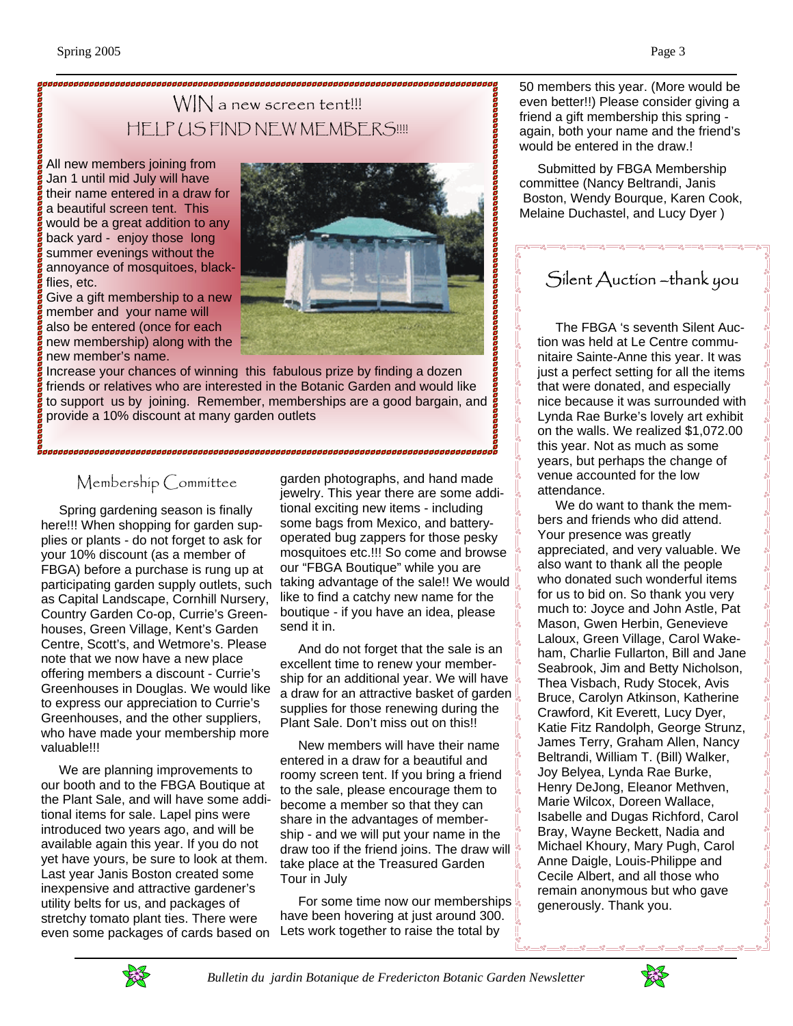### WIN a new screen tent!!! HELP US FIND NEW MEMBERS!!!!

All new members joining from Jan 1 until mid July will have their name entered in a draw for a beautiful screen tent. This would be a great addition to any back yard - enjoy those long summer evenings without the annoyance of mosquitoes, blackflies, etc.

Give a gift membership to a new member and your name will also be entered (once for each new membership) along with the new member's name.



Increase your chances of winning this fabulous prize by finding a dozen friends or relatives who are interested in the Botanic Garden and would like to support us by joining. Remember, memberships are a good bargain, and provide a 10% discount at many garden outlets

### Membership Committee

 Spring gardening season is finally here!!! When shopping for garden supplies or plants - do not forget to ask for your 10% discount (as a member of FBGA) before a purchase is rung up at participating garden supply outlets, such as Capital Landscape, Cornhill Nursery, Country Garden Co-op, Currie's Greenhouses, Green Village, Kent's Garden Centre, Scott's, and Wetmore's. Please note that we now have a new place offering members a discount - Currie's Greenhouses in Douglas. We would like to express our appreciation to Currie's Greenhouses, and the other suppliers, who have made your membership more valuable!!!

 We are planning improvements to our booth and to the FBGA Boutique at the Plant Sale, and will have some additional items for sale. Lapel pins were introduced two years ago, and will be available again this year. If you do not yet have yours, be sure to look at them. Last year Janis Boston created some inexpensive and attractive gardener's utility belts for us, and packages of stretchy tomato plant ties. There were even some packages of cards based on

garden photographs, and hand made jewelry. This year there are some additional exciting new items - including some bags from Mexico, and batteryoperated bug zappers for those pesky mosquitoes etc.!!! So come and browse our "FBGA Boutique" while you are taking advantage of the sale!! We would like to find a catchy new name for the boutique - if you have an idea, please send it in.

 And do not forget that the sale is an excellent time to renew your membership for an additional year. We will have a draw for an attractive basket of garden  $\mathbb L$ supplies for those renewing during the Plant Sale. Don't miss out on this!!

 New members will have their name entered in a draw for a beautiful and roomy screen tent. If you bring a friend to the sale, please encourage them to become a member so that they can share in the advantages of membership - and we will put your name in the draw too if the friend joins. The draw will take place at the Treasured Garden Tour in July

For some time now our memberships  $\frac{1}{2}$ have been hovering at just around 300. Lets work together to raise the total by

50 members this year. (More would be even better!!) Please consider giving a friend a gift membership this spring again, both your name and the friend's would be entered in the draw.!

 Submitted by FBGA Membership committee (Nancy Beltrandi, Janis Boston, Wendy Bourque, Karen Cook, Melaine Duchastel, and Lucy Dyer )

## Silent Auction –thank you

 The FBGA 's seventh Silent Auction was held at Le Centre communitaire Sainte-Anne this year. It was just a perfect setting for all the items that were donated, and especially nice because it was surrounded with Lynda Rae Burke's lovely art exhibit on the walls. We realized \$1,072.00 this year. Not as much as some years, but perhaps the change of venue accounted for the low attendance.

 We do want to thank the members and friends who did attend. Your presence was greatly appreciated, and very valuable. We also want to thank all the people who donated such wonderful items for us to bid on. So thank you very much to: Joyce and John Astle, Pat Mason, Gwen Herbin, Genevieve Laloux, Green Village, Carol Wakeham, Charlie Fullarton, Bill and Jane Seabrook, Jim and Betty Nicholson, Thea Visbach, Rudy Stocek, Avis Bruce, Carolyn Atkinson, Katherine Crawford, Kit Everett, Lucy Dyer, Katie Fitz Randolph, George Strunz, James Terry, Graham Allen, Nancy Beltrandi, William T. (Bill) Walker, Joy Belyea, Lynda Rae Burke, Henry DeJong, Eleanor Methven, Marie Wilcox, Doreen Wallace, Isabelle and Dugas Richford, Carol Bray, Wayne Beckett, Nadia and Michael Khoury, Mary Pugh, Carol Anne Daigle, Louis-Philippe and Cecile Albert, and all those who remain anonymous but who gave generously. Thank you.